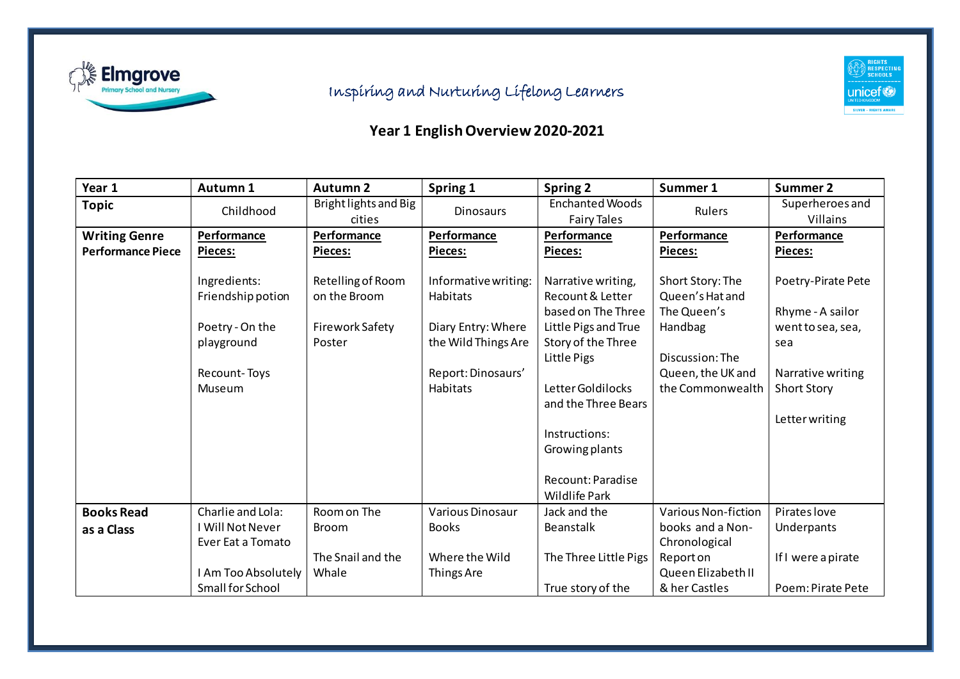

## Inspiring and Nurturing Lifelong Learners



## **Year 1 English Overview 2020-2021**

| Year 1                   | Autumn 1                              | <b>Autumn 2</b>                   | Spring 1                                  | <b>Spring 2</b>                                              | Summer 1                                           | <b>Summer 2</b>                        |
|--------------------------|---------------------------------------|-----------------------------------|-------------------------------------------|--------------------------------------------------------------|----------------------------------------------------|----------------------------------------|
| <b>Topic</b>             | Childhood                             | Bright lights and Big<br>cities   | <b>Dinosaurs</b>                          | <b>Enchanted Woods</b><br><b>Fairy Tales</b>                 | Rulers                                             | Superheroes and<br>Villains            |
| <b>Writing Genre</b>     | Performance                           | Performance                       | Performance                               | Performance                                                  | Performance                                        | Performance                            |
| <b>Performance Piece</b> | Pieces:                               | Pieces:                           | Pieces:                                   | <b>Pieces:</b>                                               | Pieces:                                            | <b>Pieces:</b>                         |
|                          | Ingredients:<br>Friendship potion     | Retelling of Room<br>on the Broom | Informative writing:<br>Habitats          | Narrative writing,<br>Recount & Letter<br>based on The Three | Short Story: The<br>Queen's Hat and<br>The Queen's | Poetry-Pirate Pete<br>Rhyme - A sailor |
|                          | Poetry - On the<br>playground         | Firework Safety<br>Poster         | Diary Entry: Where<br>the Wild Things Are | Little Pigs and True<br>Story of the Three<br>Little Pigs    | Handbag<br>Discussion: The                         | went to sea, sea,<br>sea               |
|                          | Recount-Toys                          |                                   | Report: Dinosaurs'                        |                                                              | Queen, the UK and                                  | Narrative writing                      |
|                          | Museum                                |                                   | <b>Habitats</b>                           | Letter Goldilocks<br>and the Three Bears                     | the Commonwealth                                   | <b>Short Story</b>                     |
|                          |                                       |                                   |                                           |                                                              |                                                    | Letter writing                         |
|                          |                                       |                                   |                                           | Instructions:                                                |                                                    |                                        |
|                          |                                       |                                   |                                           | Growing plants                                               |                                                    |                                        |
|                          |                                       |                                   |                                           | Recount: Paradise<br><b>Wildlife Park</b>                    |                                                    |                                        |
| <b>Books Read</b>        | Charlie and Lola:                     | Room on The                       | Various Dinosaur                          | Jack and the                                                 | Various Non-fiction                                | Pirates love                           |
| as a Class               | I Will Not Never<br>Ever Eat a Tomato | <b>Broom</b>                      | <b>Books</b>                              | <b>Beanstalk</b>                                             | books and a Non-<br>Chronological                  | Underpants                             |
|                          |                                       | The Snail and the                 | Where the Wild                            | The Three Little Pigs                                        | Report on                                          | If I were a pirate                     |
|                          | I Am Too Absolutely                   | Whale                             | Things Are                                |                                                              | Queen Elizabeth II                                 |                                        |
|                          | Small for School                      |                                   |                                           | True story of the                                            | & her Castles                                      | Poem: Pirate Pete                      |